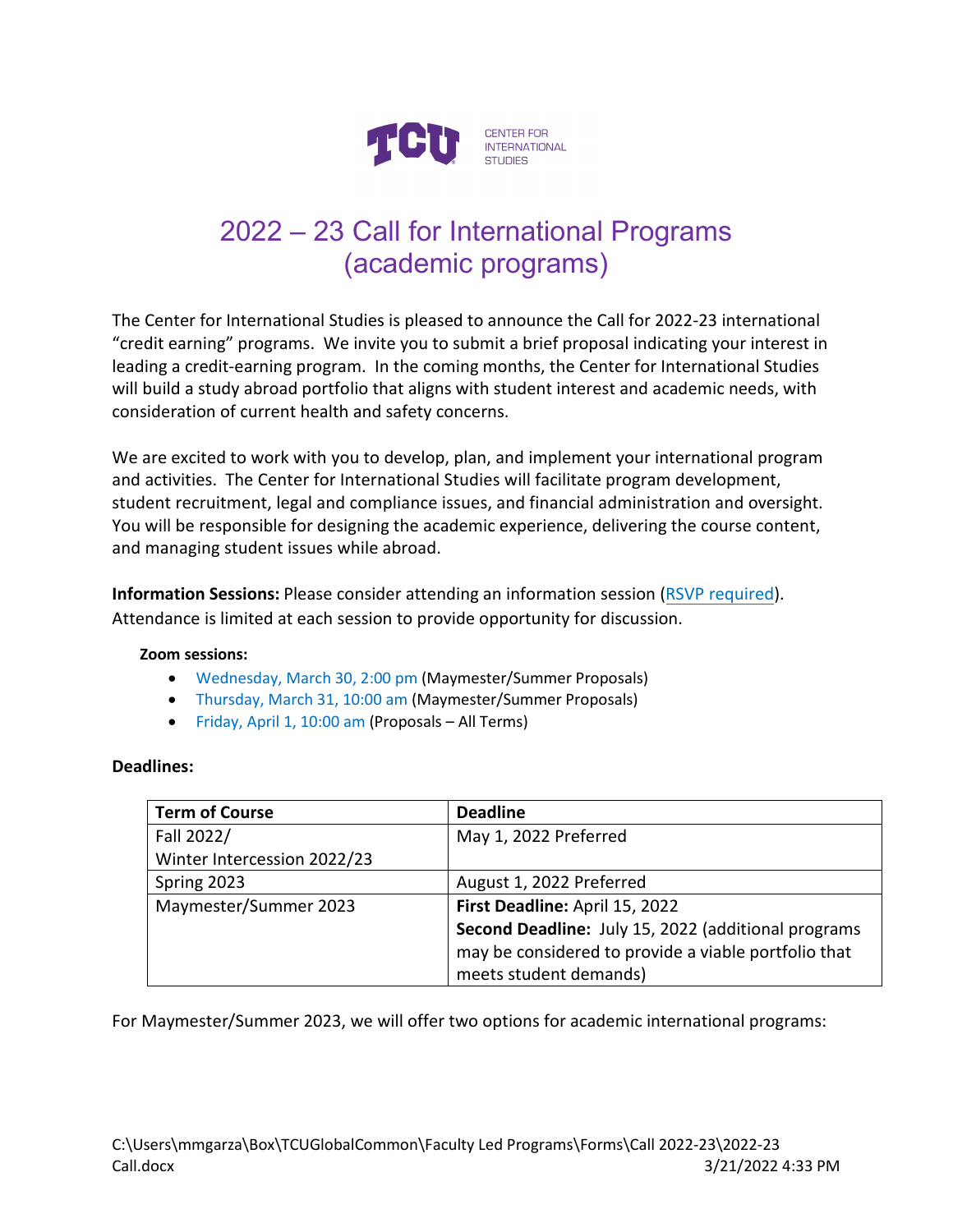

# 2022 – 23 Call for International Programs (academic programs)

The Center for International Studies is pleased to announce the Call for 2022-23 international "credit earning" programs. We invite you to submit a brief proposal indicating your interest in leading a credit-earning program. In the coming months, the Center for International Studies will build a study abroad portfolio that aligns with student interest and academic needs, with consideration of current health and safety concerns.

We are excited to work with you to develop, plan, and implement your international program and activities. The Center for International Studies will facilitate program development, student recruitment, legal and compliance issues, and financial administration and oversight. You will be responsible for designing the academic experience, delivering the course content, and managing student issues while abroad.

**Information Sessions:** Please consider attending an information session [\(RSVP required\)](https://calendly.com/m-m-garza/information-session-the-call-2023?month=2022-03). Attendance is limited at each session to provide opportunity for discussion.

### **Zoom sessions:**

- Wednesday, March 30, 2:00 pm (Maymester/Summer Proposals)
- Thursday, March 31, 10:00 am (Maymester/Summer Proposals)
- Friday, April 1, 10:00 am (Proposals All Terms)

### **Deadlines:**

| <b>Term of Course</b>       | <b>Deadline</b>                                      |
|-----------------------------|------------------------------------------------------|
| Fall 2022/                  | May 1, 2022 Preferred                                |
| Winter Intercession 2022/23 |                                                      |
| Spring 2023                 | August 1, 2022 Preferred                             |
| Maymester/Summer 2023       | First Deadline: April 15, 2022                       |
|                             | Second Deadline: July 15, 2022 (additional programs  |
|                             | may be considered to provide a viable portfolio that |
|                             | meets student demands)                               |

For Maymester/Summer 2023, we will offer two options for academic international programs: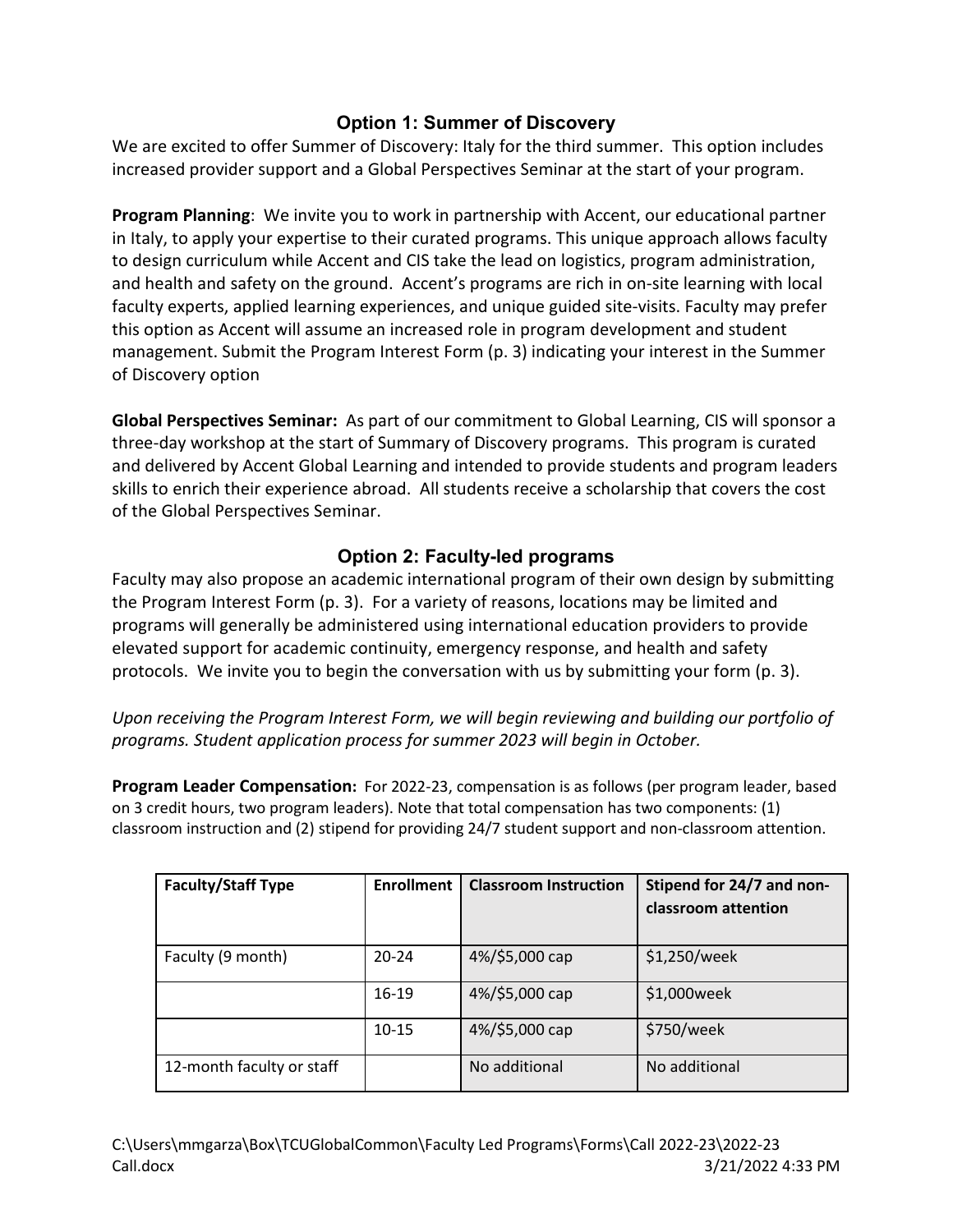### **Option 1: Summer of Discovery**

We are excited to offer Summer of Discovery: Italy for the third summer. This option includes increased provider support and a Global Perspectives Seminar at the start of your program.

**Program Planning**: We invite you to work in partnership with Accent, our educational partner in Italy, to apply your expertise to their curated programs. This unique approach allows faculty to design curriculum while Accent and CIS take the lead on logistics, program administration, and health and safety on the ground. Accent's programs are rich in on-site learning with local faculty experts, applied learning experiences, and unique guided site-visits. Faculty may prefer this option as Accent will assume an increased role in program development and student management. Submit the Program Interest Form (p. 3) indicating your interest in the Summer of Discovery option

**Global Perspectives Seminar:** As part of our commitment to Global Learning, CIS will sponsor a three-day workshop at the start of Summary of Discovery programs. This program is curated and delivered by Accent Global Learning and intended to provide students and program leaders skills to enrich their experience abroad. All students receive a scholarship that covers the cost of the Global Perspectives Seminar.

## **Option 2: Faculty-led programs**

Faculty may also propose an academic international program of their own design by submitting the Program Interest Form (p. 3). For a variety of reasons, locations may be limited and programs will generally be administered using international education providers to provide elevated support for academic continuity, emergency response, and health and safety protocols. We invite you to begin the conversation with us by submitting your form (p. 3).

*Upon receiving the Program Interest Form, we will begin reviewing and building our portfolio of programs. Student application process for summer 2023 will begin in October.*

**Program Leader Compensation:** For 2022-23, compensation is as follows (per program leader, based on 3 credit hours, two program leaders). Note that total compensation has two components: (1) classroom instruction and (2) stipend for providing 24/7 student support and non-classroom attention.

| <b>Faculty/Staff Type</b> | <b>Enrollment</b> | <b>Classroom Instruction</b> | Stipend for 24/7 and non-<br>classroom attention |
|---------------------------|-------------------|------------------------------|--------------------------------------------------|
| Faculty (9 month)         | $20 - 24$         | 4%/\$5,000 cap               | \$1,250/week                                     |
|                           | $16-19$           | 4%/\$5,000 cap               | \$1,000week                                      |
|                           | $10 - 15$         | 4%/\$5,000 cap               | \$750/week                                       |
| 12-month faculty or staff |                   | No additional                | No additional                                    |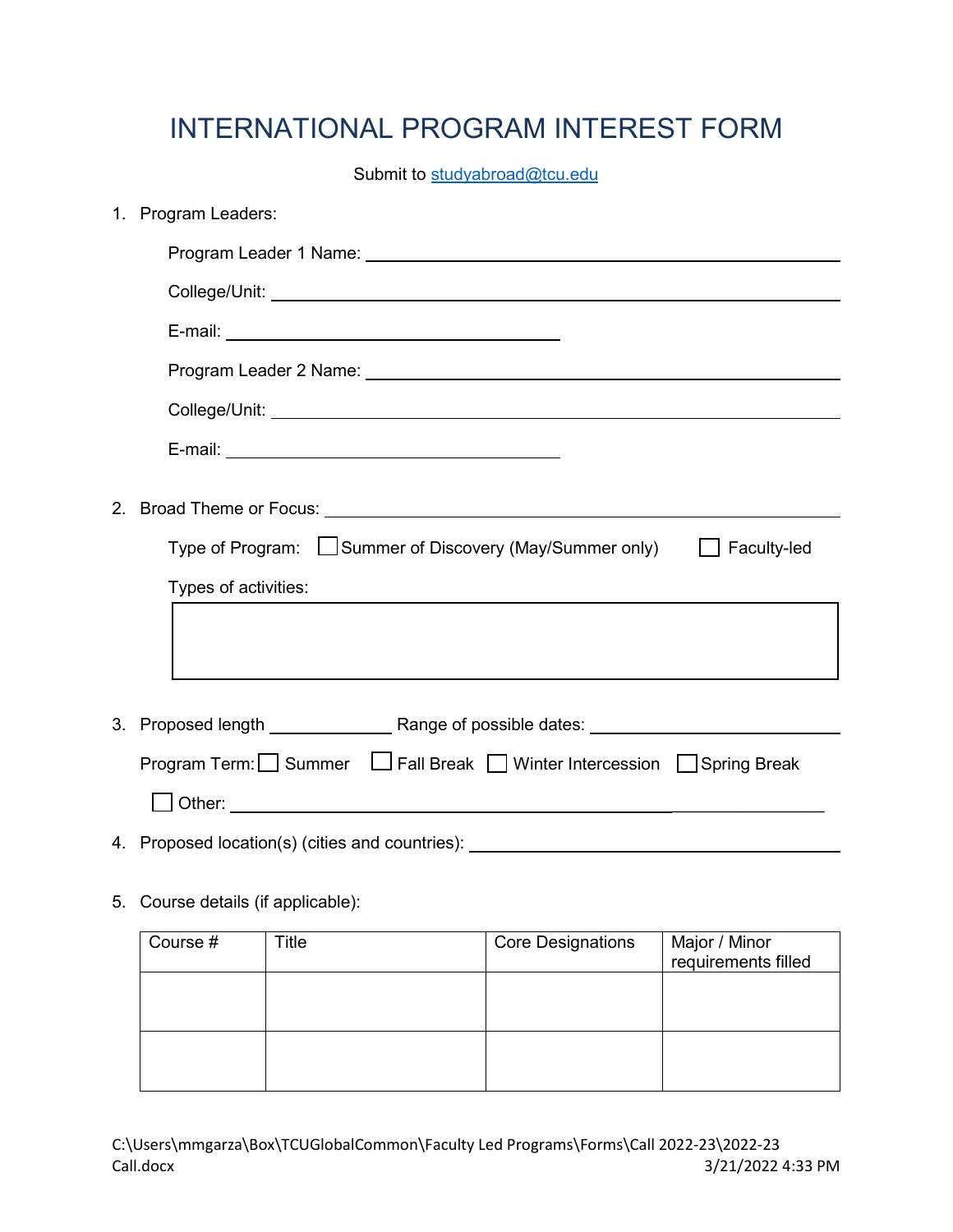# INTERNATIONAL PROGRAM INTEREST FORM

Submit to [studyabroad@tcu.edu](mailto:studyabroad@tcu.edu)

|    | 1. Program Leaders:                                                              |                          |                                      |
|----|----------------------------------------------------------------------------------|--------------------------|--------------------------------------|
|    |                                                                                  |                          |                                      |
|    |                                                                                  |                          |                                      |
|    |                                                                                  |                          |                                      |
|    |                                                                                  |                          |                                      |
|    |                                                                                  |                          |                                      |
|    |                                                                                  |                          |                                      |
|    |                                                                                  |                          |                                      |
|    |                                                                                  |                          |                                      |
|    | Type of Program: Summer of Discovery (May/Summer only) Faculty-led               |                          |                                      |
|    | Types of activities:                                                             |                          |                                      |
|    |                                                                                  |                          |                                      |
|    |                                                                                  |                          |                                      |
|    | Program Term: Summer LJ Fall Break IV inter Intercession Spring Break            |                          |                                      |
|    |                                                                                  |                          |                                      |
|    |                                                                                  |                          |                                      |
|    | 4. Proposed location(s) (cities and countries): ________________________________ |                          |                                      |
| 5. | Course details (if applicable):                                                  |                          |                                      |
|    | Course #<br><b>Title</b>                                                         | <b>Core Designations</b> | Major / Minor<br>requirements filled |
|    |                                                                                  |                          |                                      |